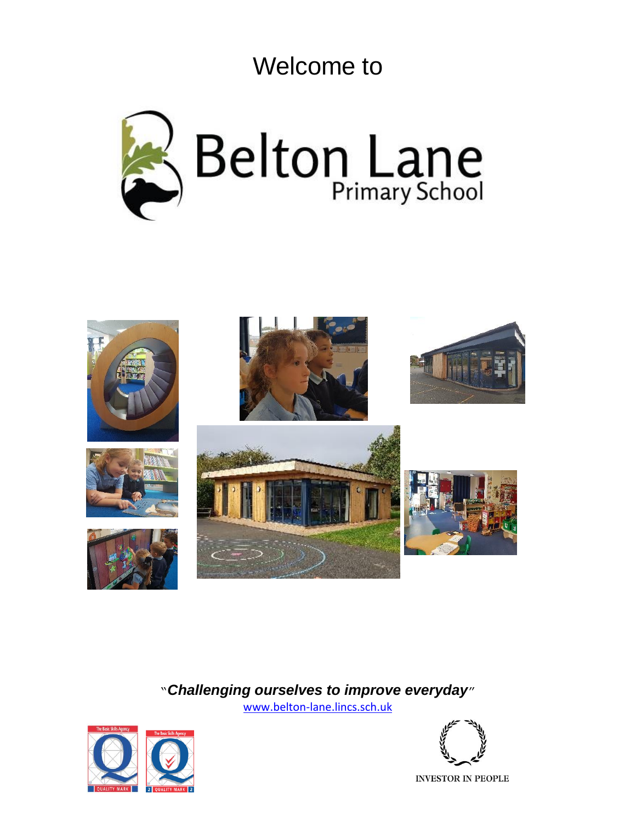





# "*Challenging ourselves to improve everyday*"

[www.belton-lane.lincs.sch.uk](http://www.belton-lane.lincs.sch.uk/)





**INVESTOR IN PEOPLE**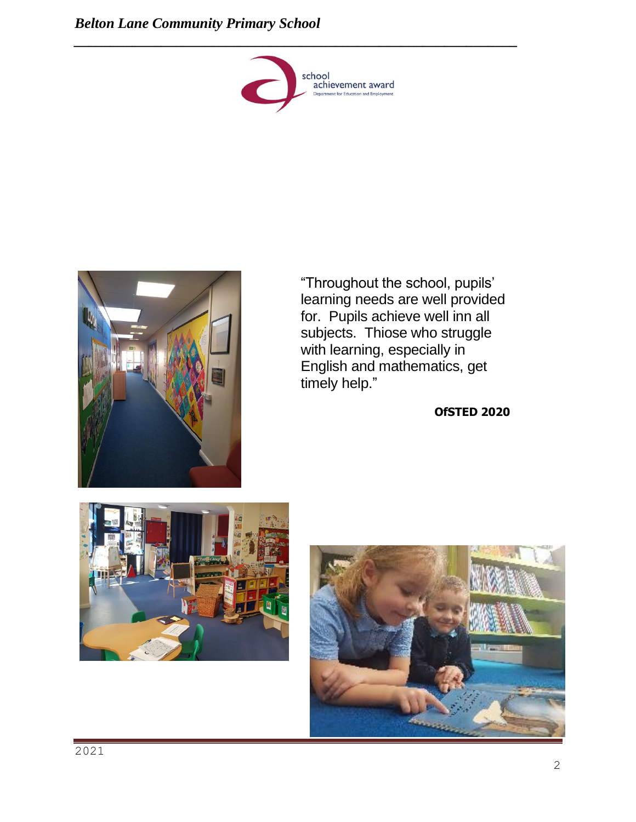## *Belton Lane Community Primary School*



*\_\_\_\_\_\_\_\_\_\_\_\_\_\_\_\_\_\_\_\_\_\_\_\_\_\_\_\_\_\_\_\_\_\_\_\_\_\_\_\_\_\_\_\_\_\_\_\_\_\_\_\_\_\_\_\_\_\_\_\_\_*



"Throughout the school, pupils' learning needs are well provided for. Pupils achieve well inn all subjects. Thiose who struggle with learning, especially in English and mathematics, get timely help."

**OfSTED 2020**



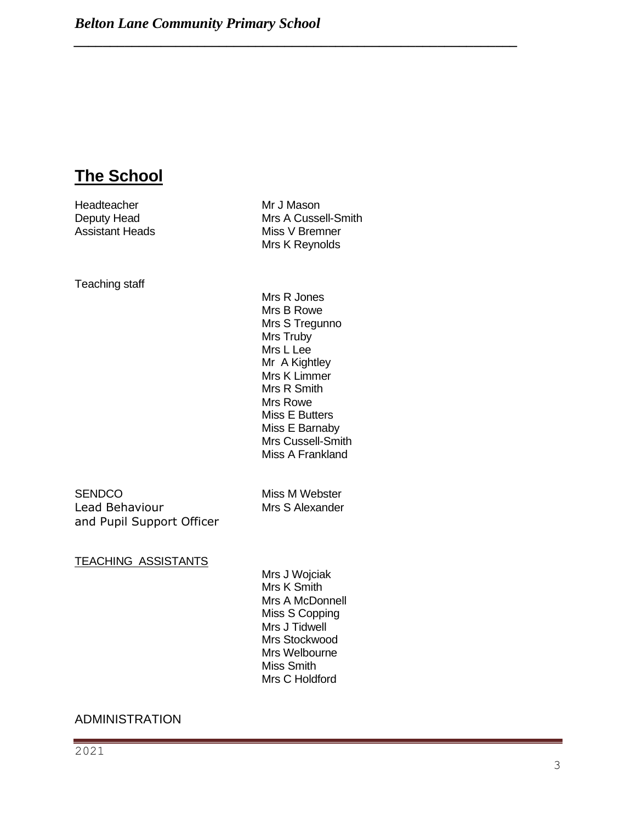# **The School**

Headteacher Mr J Mason<br>
Deputy Head Mrs A Cusse

Teaching staff

Mrs A Cussell-Smith Assistant Heads Miss V Bremner Mrs K Reynolds

*\_\_\_\_\_\_\_\_\_\_\_\_\_\_\_\_\_\_\_\_\_\_\_\_\_\_\_\_\_\_\_\_\_\_\_\_\_\_\_\_\_\_\_\_\_\_\_\_\_\_\_\_\_\_\_\_\_\_\_\_\_*

Mrs R Jones Mrs B Rowe Mrs S Tregunno Mrs Truby Mrs L Lee Mr A Kightley Mrs K Limmer Mrs R Smith Mrs Rowe Miss E Butters Miss E Barnaby Mrs Cussell-Smith Miss A Frankland

SENDCO Miss M Webster Lead Behaviour Mrs S Alexander and Pupil Support Officer

#### TEACHING ASSISTANTS

 Mrs J Wojciak Mrs K Smith Mrs A McDonnell Miss S Copping Mrs J Tidwell Mrs Stockwood Mrs Welbourne Miss Smith Mrs C Holdford

### ADMINISTRATION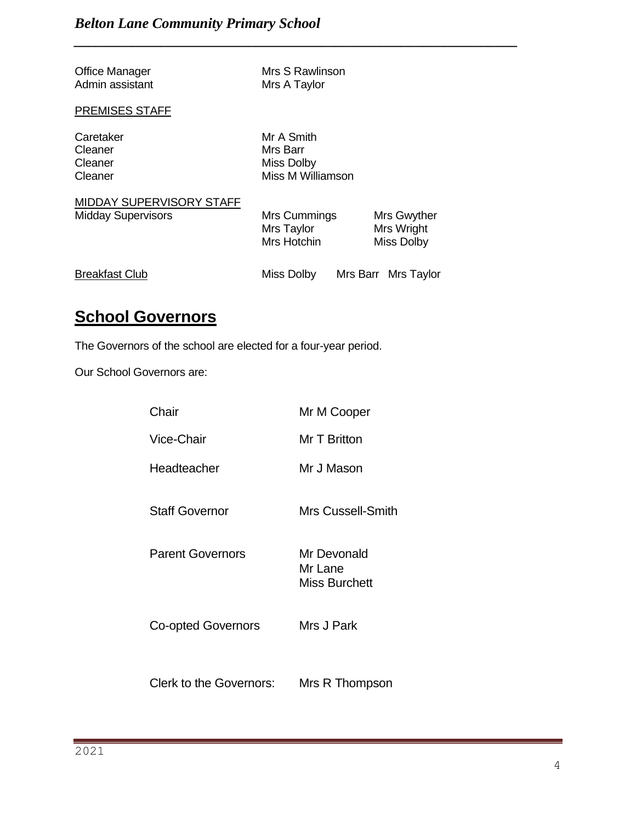| Office Manager<br>Admin assistant                            | Mrs S Rawlinson<br>Mrs A Taylor                           |                                         |
|--------------------------------------------------------------|-----------------------------------------------------------|-----------------------------------------|
| PREMISES STAFF                                               |                                                           |                                         |
| Caretaker<br>Cleaner<br>Cleaner<br>Cleaner                   | Mr A Smith<br>Mrs Barr<br>Miss Dolby<br>Miss M Williamson |                                         |
| <b>MIDDAY SUPERVISORY STAFF</b><br><b>Midday Supervisors</b> | Mrs Cummings<br>Mrs Taylor<br>Mrs Hotchin                 | Mrs Gwyther<br>Mrs Wright<br>Miss Dolby |
| <b>Breakfast Club</b>                                        | Miss Dolby                                                | Mrs Barr Mrs Taylor                     |

*\_\_\_\_\_\_\_\_\_\_\_\_\_\_\_\_\_\_\_\_\_\_\_\_\_\_\_\_\_\_\_\_\_\_\_\_\_\_\_\_\_\_\_\_\_\_\_\_\_\_\_\_\_\_\_\_\_\_\_\_\_*

# **School Governors**

The Governors of the school are elected for a four-year period.

Our School Governors are:

| Chair                          | Mr M Cooper                             |
|--------------------------------|-----------------------------------------|
| Vice-Chair                     | Mr T Britton                            |
| Headteacher                    | Mr J Mason                              |
| <b>Staff Governor</b>          | Mrs Cussell-Smith                       |
| <b>Parent Governors</b>        | Mr Devonald<br>Mr Lane<br>Miss Burchett |
| <b>Co-opted Governors</b>      | Mrs J Park                              |
| <b>Clerk to the Governors:</b> | Mrs R Thompson                          |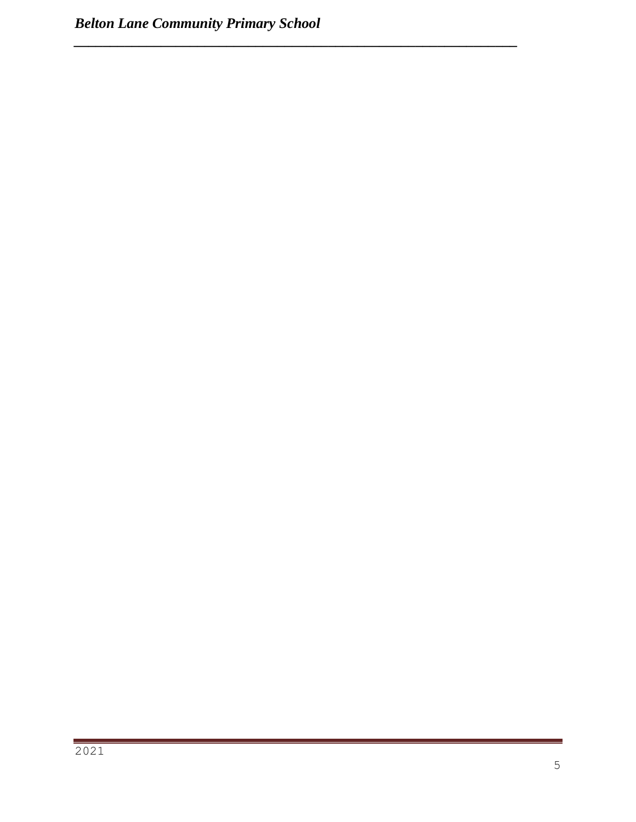*\_\_\_\_\_\_\_\_\_\_\_\_\_\_\_\_\_\_\_\_\_\_\_\_\_\_\_\_\_\_\_\_\_\_\_\_\_\_\_\_\_\_\_\_\_\_\_\_\_\_\_\_\_\_\_\_\_\_\_\_\_*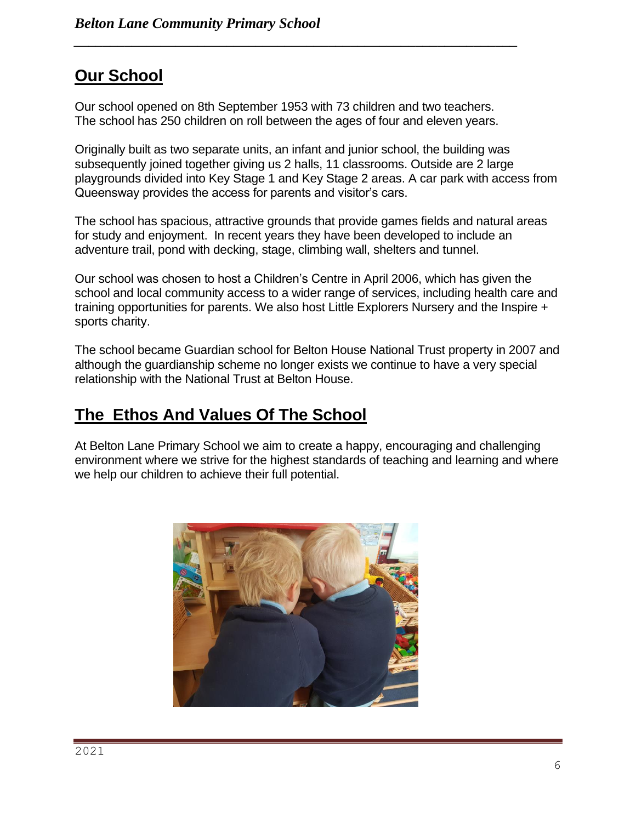## **Our School**

Our school opened on 8th September 1953 with 73 children and two teachers. The school has 250 children on roll between the ages of four and eleven years.

*\_\_\_\_\_\_\_\_\_\_\_\_\_\_\_\_\_\_\_\_\_\_\_\_\_\_\_\_\_\_\_\_\_\_\_\_\_\_\_\_\_\_\_\_\_\_\_\_\_\_\_\_\_\_\_\_\_\_\_\_\_*

Originally built as two separate units, an infant and junior school, the building was subsequently joined together giving us 2 halls, 11 classrooms. Outside are 2 large playgrounds divided into Key Stage 1 and Key Stage 2 areas. A car park with access from Queensway provides the access for parents and visitor's cars.

The school has spacious, attractive grounds that provide games fields and natural areas for study and enjoyment. In recent years they have been developed to include an adventure trail, pond with decking, stage, climbing wall, shelters and tunnel.

Our school was chosen to host a Children's Centre in April 2006, which has given the school and local community access to a wider range of services, including health care and training opportunities for parents. We also host Little Explorers Nursery and the Inspire + sports charity.

The school became Guardian school for Belton House National Trust property in 2007 and although the guardianship scheme no longer exists we continue to have a very special relationship with the National Trust at Belton House.

## **The Ethos And Values Of The School**

At Belton Lane Primary School we aim to create a happy, encouraging and challenging environment where we strive for the highest standards of teaching and learning and where we help our children to achieve their full potential.

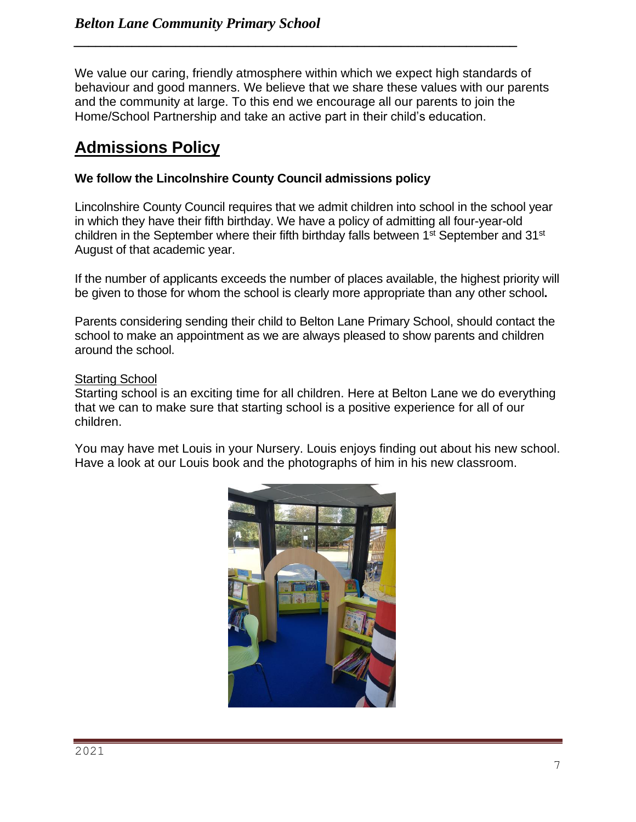We value our caring, friendly atmosphere within which we expect high standards of behaviour and good manners. We believe that we share these values with our parents and the community at large. To this end we encourage all our parents to join the Home/School Partnership and take an active part in their child's education.

*\_\_\_\_\_\_\_\_\_\_\_\_\_\_\_\_\_\_\_\_\_\_\_\_\_\_\_\_\_\_\_\_\_\_\_\_\_\_\_\_\_\_\_\_\_\_\_\_\_\_\_\_\_\_\_\_\_\_\_\_\_*

# **Admissions Policy**

### **We follow the Lincolnshire County Council admissions policy**

Lincolnshire County Council requires that we admit children into school in the school year in which they have their fifth birthday. We have a policy of admitting all four-year-old children in the September where their fifth birthday falls between  $1<sup>st</sup>$  September and  $31<sup>st</sup>$ August of that academic year.

If the number of applicants exceeds the number of places available, the highest priority will be given to those for whom the school is clearly more appropriate than any other school**.** 

Parents considering sending their child to Belton Lane Primary School, should contact the school to make an appointment as we are always pleased to show parents and children around the school.

#### Starting School

Starting school is an exciting time for all children. Here at Belton Lane we do everything that we can to make sure that starting school is a positive experience for all of our children.

You may have met Louis in your Nursery. Louis enjoys finding out about his new school. Have a look at our Louis book and the photographs of him in his new classroom.

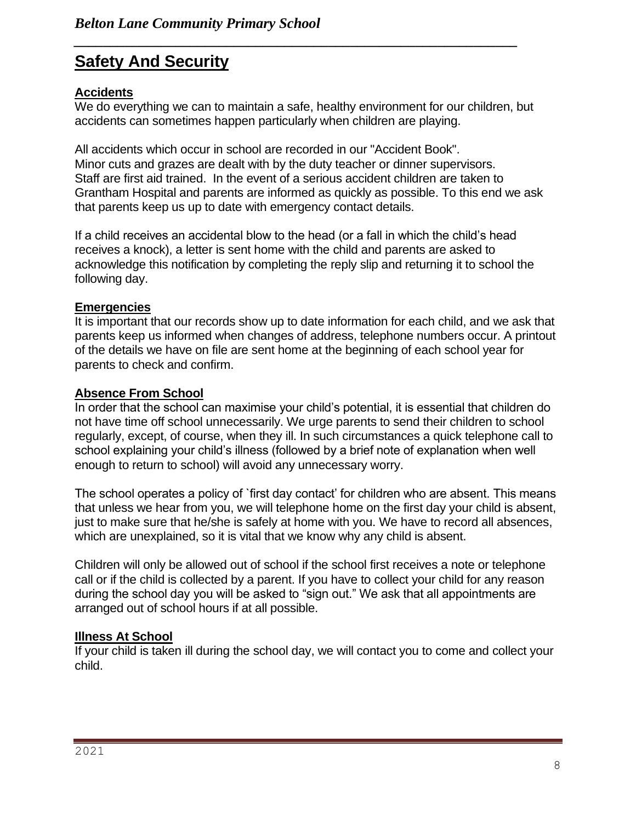## **Safety And Security**

## **Accidents**

We do everything we can to maintain a safe, healthy environment for our children, but accidents can sometimes happen particularly when children are playing.

*\_\_\_\_\_\_\_\_\_\_\_\_\_\_\_\_\_\_\_\_\_\_\_\_\_\_\_\_\_\_\_\_\_\_\_\_\_\_\_\_\_\_\_\_\_\_\_\_\_\_\_\_\_\_\_\_\_\_\_\_\_*

All accidents which occur in school are recorded in our "Accident Book". Minor cuts and grazes are dealt with by the duty teacher or dinner supervisors. Staff are first aid trained. In the event of a serious accident children are taken to Grantham Hospital and parents are informed as quickly as possible. To this end we ask that parents keep us up to date with emergency contact details.

If a child receives an accidental blow to the head (or a fall in which the child's head receives a knock), a letter is sent home with the child and parents are asked to acknowledge this notification by completing the reply slip and returning it to school the following day.

### **Emergencies**

It is important that our records show up to date information for each child, and we ask that parents keep us informed when changes of address, telephone numbers occur. A printout of the details we have on file are sent home at the beginning of each school year for parents to check and confirm.

### **Absence From School**

In order that the school can maximise your child's potential, it is essential that children do not have time off school unnecessarily. We urge parents to send their children to school regularly, except, of course, when they ill. In such circumstances a quick telephone call to school explaining your child's illness (followed by a brief note of explanation when well enough to return to school) will avoid any unnecessary worry.

The school operates a policy of `first day contact' for children who are absent. This means that unless we hear from you, we will telephone home on the first day your child is absent, just to make sure that he/she is safely at home with you. We have to record all absences, which are unexplained, so it is vital that we know why any child is absent.

Children will only be allowed out of school if the school first receives a note or telephone call or if the child is collected by a parent. If you have to collect your child for any reason during the school day you will be asked to "sign out." We ask that all appointments are arranged out of school hours if at all possible.

## **Illness At School**

If your child is taken ill during the school day, we will contact you to come and collect your child.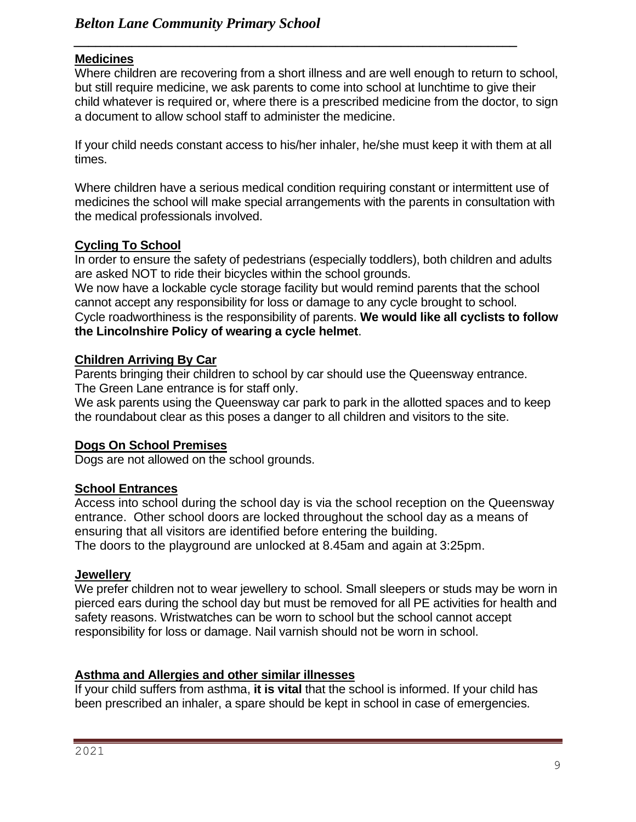### **Medicines**

Where children are recovering from a short illness and are well enough to return to school, but still require medicine, we ask parents to come into school at lunchtime to give their child whatever is required or, where there is a prescribed medicine from the doctor, to sign a document to allow school staff to administer the medicine.

*\_\_\_\_\_\_\_\_\_\_\_\_\_\_\_\_\_\_\_\_\_\_\_\_\_\_\_\_\_\_\_\_\_\_\_\_\_\_\_\_\_\_\_\_\_\_\_\_\_\_\_\_\_\_\_\_\_\_\_\_\_*

If your child needs constant access to his/her inhaler, he/she must keep it with them at all times.

Where children have a serious medical condition requiring constant or intermittent use of medicines the school will make special arrangements with the parents in consultation with the medical professionals involved.

### **Cycling To School**

In order to ensure the safety of pedestrians (especially toddlers), both children and adults are asked NOT to ride their bicycles within the school grounds.

We now have a lockable cycle storage facility but would remind parents that the school cannot accept any responsibility for loss or damage to any cycle brought to school. Cycle roadworthiness is the responsibility of parents. **We would like all cyclists to follow the Lincolnshire Policy of wearing a cycle helmet**.

### **Children Arriving By Car**

Parents bringing their children to school by car should use the Queensway entrance. The Green Lane entrance is for staff only.

We ask parents using the Queensway car park to park in the allotted spaces and to keep the roundabout clear as this poses a danger to all children and visitors to the site.

### **Dogs On School Premises**

Dogs are not allowed on the school grounds.

### **School Entrances**

Access into school during the school day is via the school reception on the Queensway entrance. Other school doors are locked throughout the school day as a means of ensuring that all visitors are identified before entering the building. The doors to the playground are unlocked at 8.45am and again at 3:25pm.

### **Jewellery**

We prefer children not to wear jewellery to school. Small sleepers or studs may be worn in pierced ears during the school day but must be removed for all PE activities for health and safety reasons. Wristwatches can be worn to school but the school cannot accept responsibility for loss or damage. Nail varnish should not be worn in school.

## **Asthma and Allergies and other similar illnesses**

If your child suffers from asthma, **it is vital** that the school is informed. If your child has been prescribed an inhaler, a spare should be kept in school in case of emergencies.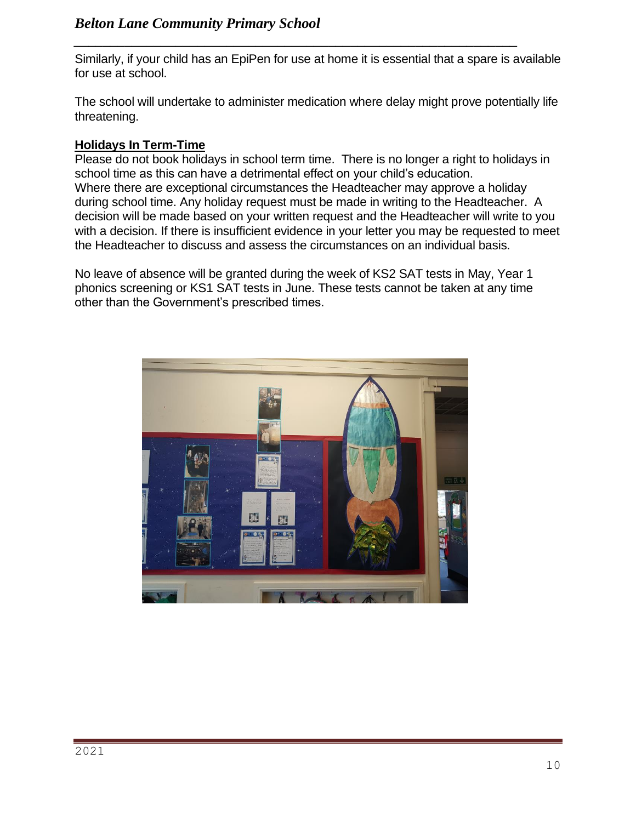Similarly, if your child has an EpiPen for use at home it is essential that a spare is available for use at school.

*\_\_\_\_\_\_\_\_\_\_\_\_\_\_\_\_\_\_\_\_\_\_\_\_\_\_\_\_\_\_\_\_\_\_\_\_\_\_\_\_\_\_\_\_\_\_\_\_\_\_\_\_\_\_\_\_\_\_\_\_\_*

The school will undertake to administer medication where delay might prove potentially life threatening.

### **Holidays In Term-Time**

Please do not book holidays in school term time. There is no longer a right to holidays in school time as this can have a detrimental effect on your child's education. Where there are exceptional circumstances the Headteacher may approve a holiday during school time. Any holiday request must be made in writing to the Headteacher. A decision will be made based on your written request and the Headteacher will write to you with a decision. If there is insufficient evidence in your letter you may be requested to meet the Headteacher to discuss and assess the circumstances on an individual basis.

No leave of absence will be granted during the week of KS2 SAT tests in May, Year 1 phonics screening or KS1 SAT tests in June. These tests cannot be taken at any time other than the Government's prescribed times.

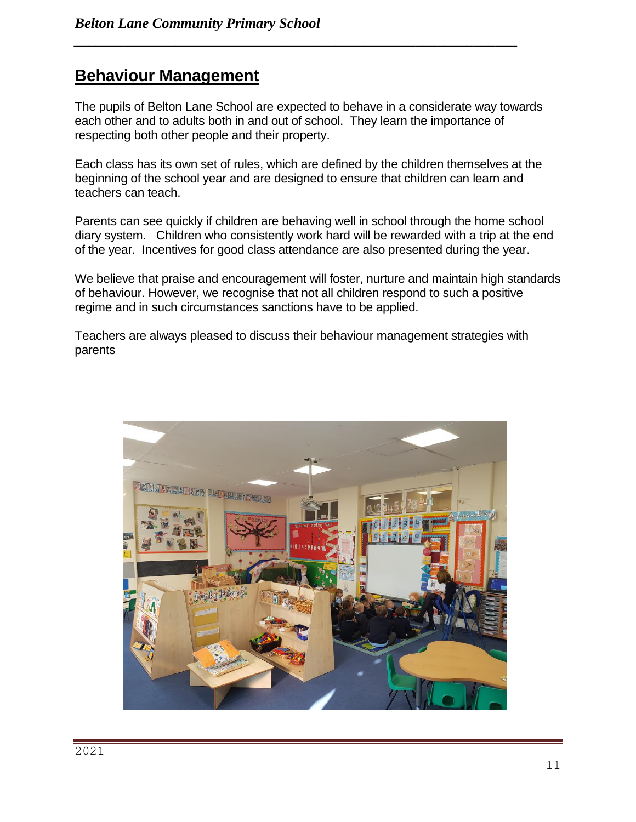## **Behaviour Management**

The pupils of Belton Lane School are expected to behave in a considerate way towards each other and to adults both in and out of school. They learn the importance of respecting both other people and their property.

*\_\_\_\_\_\_\_\_\_\_\_\_\_\_\_\_\_\_\_\_\_\_\_\_\_\_\_\_\_\_\_\_\_\_\_\_\_\_\_\_\_\_\_\_\_\_\_\_\_\_\_\_\_\_\_\_\_\_\_\_\_*

Each class has its own set of rules, which are defined by the children themselves at the beginning of the school year and are designed to ensure that children can learn and teachers can teach.

Parents can see quickly if children are behaving well in school through the home school diary system. Children who consistently work hard will be rewarded with a trip at the end of the year. Incentives for good class attendance are also presented during the year.

We believe that praise and encouragement will foster, nurture and maintain high standards of behaviour. However, we recognise that not all children respond to such a positive regime and in such circumstances sanctions have to be applied.

Teachers are always pleased to discuss their behaviour management strategies with parents

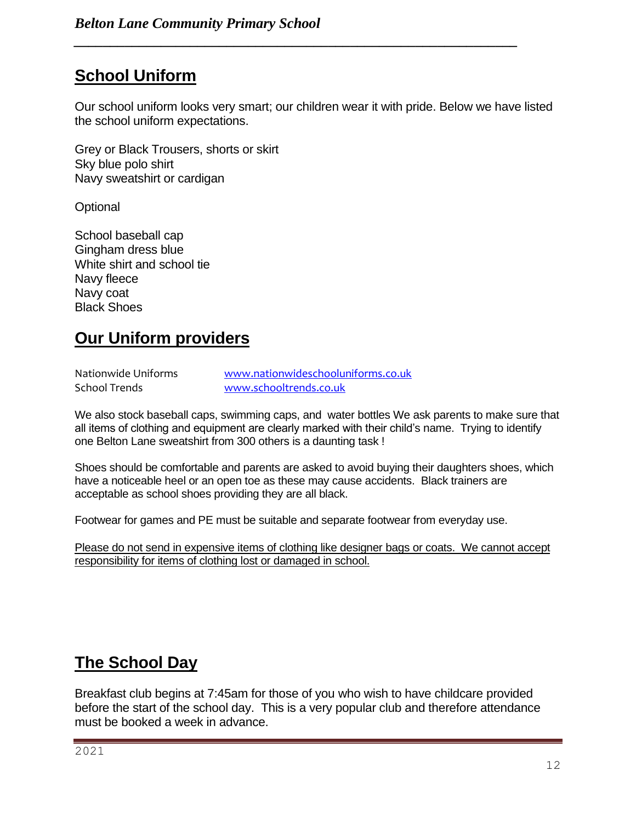# **School Uniform**

Our school uniform looks very smart; our children wear it with pride. Below we have listed the school uniform expectations.

*\_\_\_\_\_\_\_\_\_\_\_\_\_\_\_\_\_\_\_\_\_\_\_\_\_\_\_\_\_\_\_\_\_\_\_\_\_\_\_\_\_\_\_\_\_\_\_\_\_\_\_\_\_\_\_\_\_\_\_\_\_*

Grey or Black Trousers, shorts or skirt Sky blue polo shirt Navy sweatshirt or cardigan

**Optional** 

School baseball cap Gingham dress blue White shirt and school tie Navy fleece Navy coat Black Shoes

# **Our Uniform providers**

Nationwide Uniforms [www.nationwideschooluniforms.co.uk](http://www.nationwideschooluniforms.co.uk/) School Trends [www.schooltrends.co.uk](http://www.schooltrends.co.uk/)

We also stock baseball caps, swimming caps, and water bottles We ask parents to make sure that all items of clothing and equipment are clearly marked with their child's name. Trying to identify one Belton Lane sweatshirt from 300 others is a daunting task !

Shoes should be comfortable and parents are asked to avoid buying their daughters shoes, which have a noticeable heel or an open toe as these may cause accidents. Black trainers are acceptable as school shoes providing they are all black.

Footwear for games and PE must be suitable and separate footwear from everyday use.

Please do not send in expensive items of clothing like designer bags or coats. We cannot accept responsibility for items of clothing lost or damaged in school.

# **The School Day**

Breakfast club begins at 7:45am for those of you who wish to have childcare provided before the start of the school day. This is a very popular club and therefore attendance must be booked a week in advance.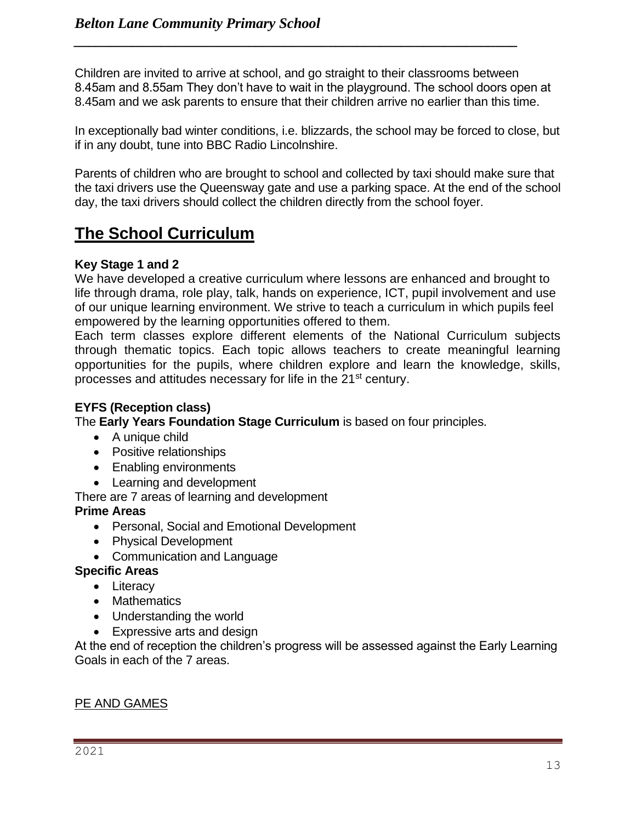Children are invited to arrive at school, and go straight to their classrooms between 8.45am and 8.55am They don't have to wait in the playground. The school doors open at 8.45am and we ask parents to ensure that their children arrive no earlier than this time.

*\_\_\_\_\_\_\_\_\_\_\_\_\_\_\_\_\_\_\_\_\_\_\_\_\_\_\_\_\_\_\_\_\_\_\_\_\_\_\_\_\_\_\_\_\_\_\_\_\_\_\_\_\_\_\_\_\_\_\_\_\_*

In exceptionally bad winter conditions, i.e. blizzards, the school may be forced to close, but if in any doubt, tune into BBC Radio Lincolnshire.

Parents of children who are brought to school and collected by taxi should make sure that the taxi drivers use the Queensway gate and use a parking space. At the end of the school day, the taxi drivers should collect the children directly from the school foyer.

# **The School Curriculum**

## **Key Stage 1 and 2**

We have developed a creative curriculum where lessons are enhanced and brought to life through drama, role play, talk, hands on experience, ICT, pupil involvement and use of our unique learning environment. We strive to teach a curriculum in which pupils feel empowered by the learning opportunities offered to them.

Each term classes explore different elements of the National Curriculum subjects through thematic topics. Each topic allows teachers to create meaningful learning opportunities for the pupils, where children explore and learn the knowledge, skills, processes and attitudes necessary for life in the 21st century.

## **EYFS (Reception class)**

The **Early Years Foundation Stage Curriculum** is based on four principles.

- A unique child
- Positive relationships
- Enabling environments
- Learning and development

There are 7 areas of learning and development

### **Prime Areas**

- Personal, Social and Emotional Development
- Physical Development
- Communication and Language

#### **Specific Areas**

- Literacy
- Mathematics
- Understanding the world
- Expressive arts and design

At the end of reception the children's progress will be assessed against the Early Learning Goals in each of the 7 areas.

### PE AND GAMES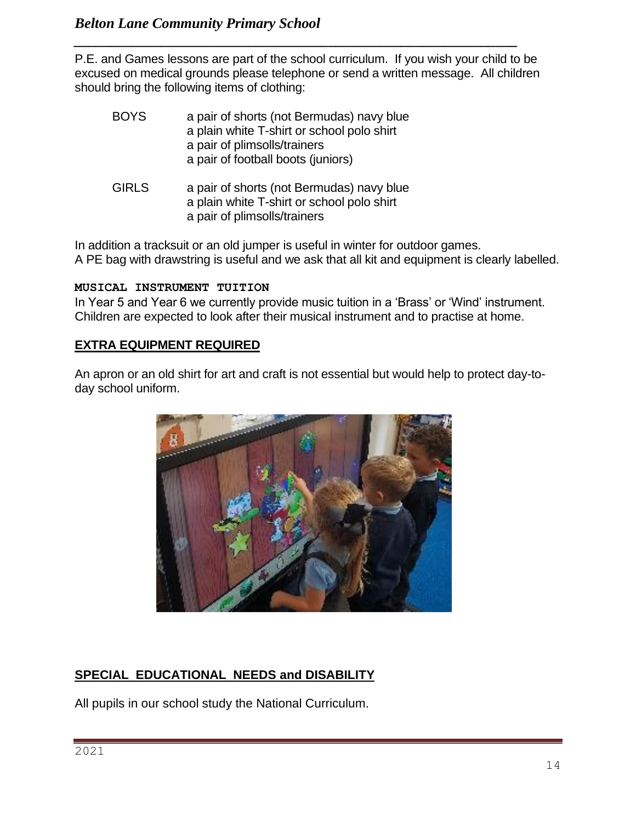P.E. and Games lessons are part of the school curriculum. If you wish your child to be excused on medical grounds please telephone or send a written message. All children should bring the following items of clothing:

*\_\_\_\_\_\_\_\_\_\_\_\_\_\_\_\_\_\_\_\_\_\_\_\_\_\_\_\_\_\_\_\_\_\_\_\_\_\_\_\_\_\_\_\_\_\_\_\_\_\_\_\_\_\_\_\_\_\_\_\_\_*

| <b>BOYS</b>  | a pair of shorts (not Bermudas) navy blue<br>a plain white T-shirt or school polo shirt<br>a pair of plimsolls/trainers<br>a pair of football boots (juniors) |
|--------------|---------------------------------------------------------------------------------------------------------------------------------------------------------------|
| <b>GIRLS</b> | a pair of shorts (not Bermudas) navy blue<br>a plain white T-shirt or school polo shirt<br>a pair of plimsolls/trainers                                       |

In addition a tracksuit or an old jumper is useful in winter for outdoor games. A PE bag with drawstring is useful and we ask that all kit and equipment is clearly labelled.

### **MUSICAL INSTRUMENT TUITION**

In Year 5 and Year 6 we currently provide music tuition in a 'Brass' or 'Wind' instrument. Children are expected to look after their musical instrument and to practise at home.

## **EXTRA EQUIPMENT REQUIRED**

An apron or an old shirt for art and craft is not essential but would help to protect day-today school uniform.



## **SPECIAL EDUCATIONAL NEEDS and DISABILITY**

All pupils in our school study the National Curriculum.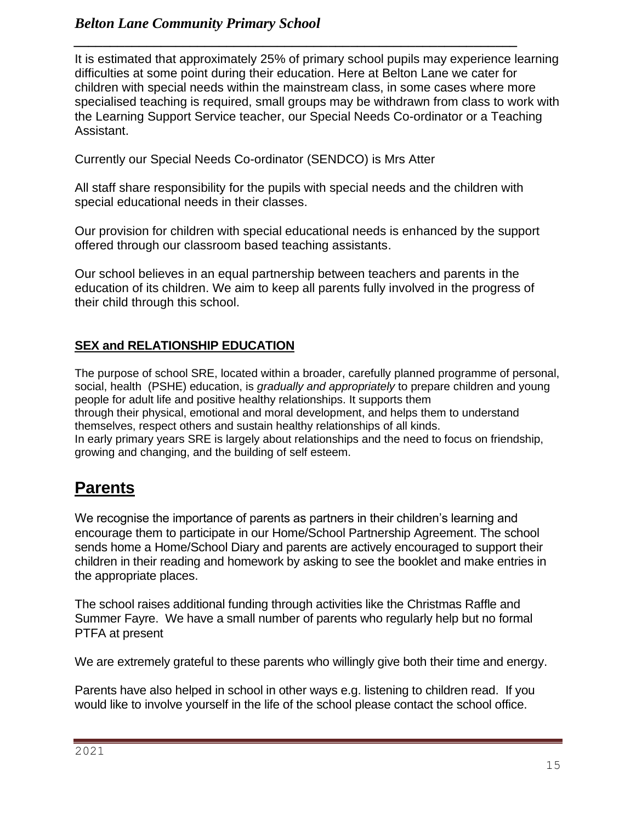## *Belton Lane Community Primary School*

It is estimated that approximately 25% of primary school pupils may experience learning difficulties at some point during their education. Here at Belton Lane we cater for children with special needs within the mainstream class, in some cases where more specialised teaching is required, small groups may be withdrawn from class to work with the Learning Support Service teacher, our Special Needs Co-ordinator or a Teaching Assistant.

*\_\_\_\_\_\_\_\_\_\_\_\_\_\_\_\_\_\_\_\_\_\_\_\_\_\_\_\_\_\_\_\_\_\_\_\_\_\_\_\_\_\_\_\_\_\_\_\_\_\_\_\_\_\_\_\_\_\_\_\_\_*

Currently our Special Needs Co-ordinator (SENDCO) is Mrs Atter

All staff share responsibility for the pupils with special needs and the children with special educational needs in their classes.

Our provision for children with special educational needs is enhanced by the support offered through our classroom based teaching assistants.

Our school believes in an equal partnership between teachers and parents in the education of its children. We aim to keep all parents fully involved in the progress of their child through this school.

## **SEX and RELATIONSHIP EDUCATION**

The purpose of school SRE, located within a broader, carefully planned programme of personal, social, health (PSHE) education, is *gradually and appropriately* to prepare children and young people for adult life and positive healthy relationships. It supports them through their physical, emotional and moral development, and helps them to understand themselves, respect others and sustain healthy relationships of all kinds. In early primary years SRE is largely about relationships and the need to focus on friendship, growing and changing, and the building of self esteem.

# **Parents**

We recognise the importance of parents as partners in their children's learning and encourage them to participate in our Home/School Partnership Agreement. The school sends home a Home/School Diary and parents are actively encouraged to support their children in their reading and homework by asking to see the booklet and make entries in the appropriate places.

The school raises additional funding through activities like the Christmas Raffle and Summer Fayre. We have a small number of parents who regularly help but no formal PTFA at present

We are extremely grateful to these parents who willingly give both their time and energy.

Parents have also helped in school in other ways e.g. listening to children read. If you would like to involve yourself in the life of the school please contact the school office.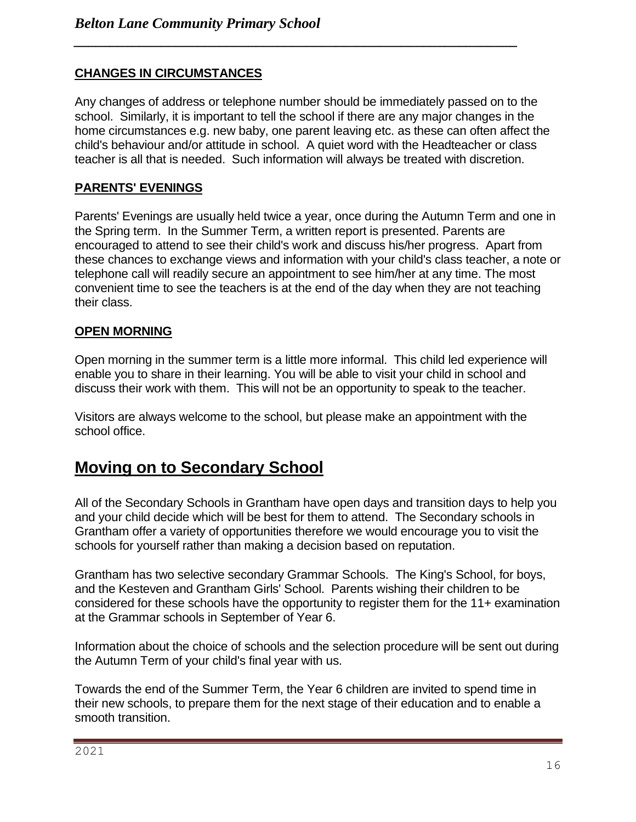## **CHANGES IN CIRCUMSTANCES**

Any changes of address or telephone number should be immediately passed on to the school. Similarly, it is important to tell the school if there are any major changes in the home circumstances e.g. new baby, one parent leaving etc. as these can often affect the child's behaviour and/or attitude in school. A quiet word with the Headteacher or class teacher is all that is needed. Such information will always be treated with discretion.

*\_\_\_\_\_\_\_\_\_\_\_\_\_\_\_\_\_\_\_\_\_\_\_\_\_\_\_\_\_\_\_\_\_\_\_\_\_\_\_\_\_\_\_\_\_\_\_\_\_\_\_\_\_\_\_\_\_\_\_\_\_*

## **PARENTS' EVENINGS**

Parents' Evenings are usually held twice a year, once during the Autumn Term and one in the Spring term. In the Summer Term, a written report is presented. Parents are encouraged to attend to see their child's work and discuss his/her progress. Apart from these chances to exchange views and information with your child's class teacher, a note or telephone call will readily secure an appointment to see him/her at any time. The most convenient time to see the teachers is at the end of the day when they are not teaching their class.

### **OPEN MORNING**

Open morning in the summer term is a little more informal. This child led experience will enable you to share in their learning. You will be able to visit your child in school and discuss their work with them. This will not be an opportunity to speak to the teacher.

Visitors are always welcome to the school, but please make an appointment with the school office.

## **Moving on to Secondary School**

All of the Secondary Schools in Grantham have open days and transition days to help you and your child decide which will be best for them to attend. The Secondary schools in Grantham offer a variety of opportunities therefore we would encourage you to visit the schools for yourself rather than making a decision based on reputation.

Grantham has two selective secondary Grammar Schools. The King's School, for boys, and the Kesteven and Grantham Girls' School. Parents wishing their children to be considered for these schools have the opportunity to register them for the 11+ examination at the Grammar schools in September of Year 6.

Information about the choice of schools and the selection procedure will be sent out during the Autumn Term of your child's final year with us.

Towards the end of the Summer Term, the Year 6 children are invited to spend time in their new schools, to prepare them for the next stage of their education and to enable a smooth transition.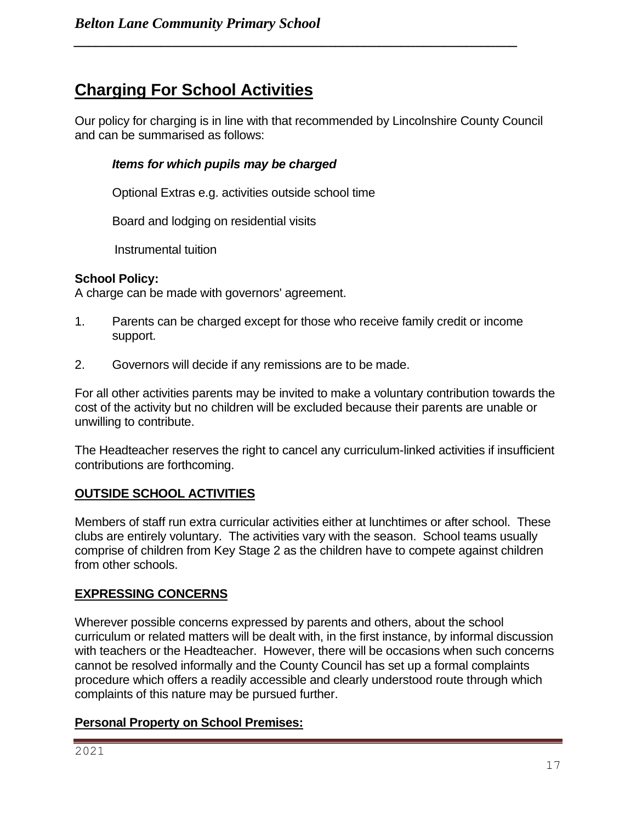# **Charging For School Activities**

Our policy for charging is in line with that recommended by Lincolnshire County Council and can be summarised as follows:

*\_\_\_\_\_\_\_\_\_\_\_\_\_\_\_\_\_\_\_\_\_\_\_\_\_\_\_\_\_\_\_\_\_\_\_\_\_\_\_\_\_\_\_\_\_\_\_\_\_\_\_\_\_\_\_\_\_\_\_\_\_*

### *Items for which pupils may be charged*

Optional Extras e.g. activities outside school time

Board and lodging on residential visits

Instrumental tuition

### **School Policy:**

A charge can be made with governors' agreement.

- 1. Parents can be charged except for those who receive family credit or income support.
- 2. Governors will decide if any remissions are to be made.

For all other activities parents may be invited to make a voluntary contribution towards the cost of the activity but no children will be excluded because their parents are unable or unwilling to contribute.

The Headteacher reserves the right to cancel any curriculum-linked activities if insufficient contributions are forthcoming.

### **OUTSIDE SCHOOL ACTIVITIES**

Members of staff run extra curricular activities either at lunchtimes or after school. These clubs are entirely voluntary. The activities vary with the season. School teams usually comprise of children from Key Stage 2 as the children have to compete against children from other schools.

### **EXPRESSING CONCERNS**

Wherever possible concerns expressed by parents and others, about the school curriculum or related matters will be dealt with, in the first instance, by informal discussion with teachers or the Headteacher. However, there will be occasions when such concerns cannot be resolved informally and the County Council has set up a formal complaints procedure which offers a readily accessible and clearly understood route through which complaints of this nature may be pursued further.

### **Personal Property on School Premises:**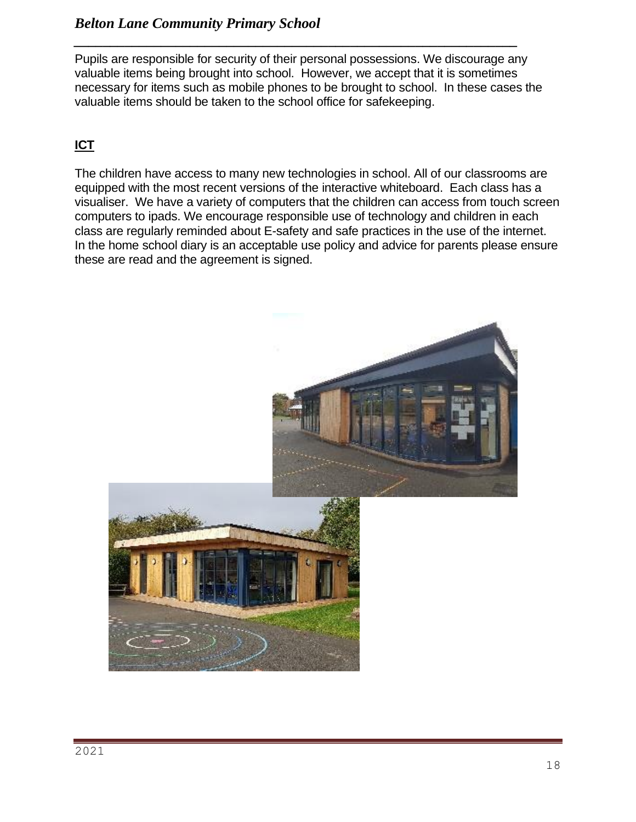Pupils are responsible for security of their personal possessions. We discourage any valuable items being brought into school. However, we accept that it is sometimes necessary for items such as mobile phones to be brought to school. In these cases the valuable items should be taken to the school office for safekeeping.

*\_\_\_\_\_\_\_\_\_\_\_\_\_\_\_\_\_\_\_\_\_\_\_\_\_\_\_\_\_\_\_\_\_\_\_\_\_\_\_\_\_\_\_\_\_\_\_\_\_\_\_\_\_\_\_\_\_\_\_\_\_*

## **ICT**

The children have access to many new technologies in school. All of our classrooms are equipped with the most recent versions of the interactive whiteboard. Each class has a visualiser. We have a variety of computers that the children can access from touch screen computers to ipads. We encourage responsible use of technology and children in each class are regularly reminded about E-safety and safe practices in the use of the internet. In the home school diary is an acceptable use policy and advice for parents please ensure these are read and the agreement is signed.